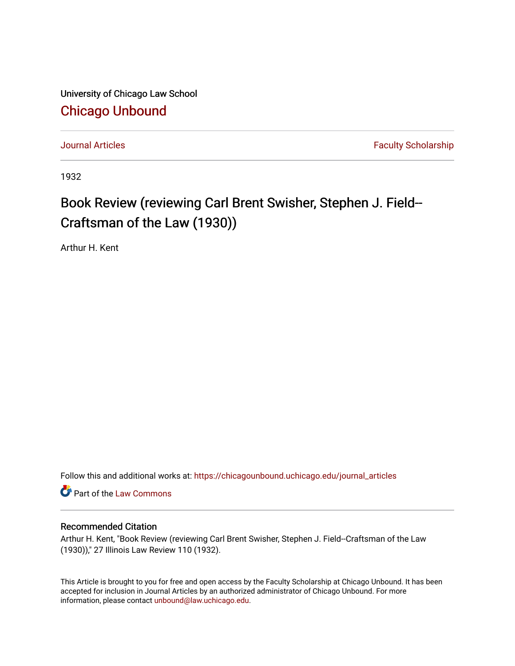University of Chicago Law School [Chicago Unbound](https://chicagounbound.uchicago.edu/)

[Journal Articles](https://chicagounbound.uchicago.edu/journal_articles) **Faculty Scholarship Journal Articles** 

1932

## Book Review (reviewing Carl Brent Swisher, Stephen J. Field--Craftsman of the Law (1930))

Arthur H. Kent

Follow this and additional works at: [https://chicagounbound.uchicago.edu/journal\\_articles](https://chicagounbound.uchicago.edu/journal_articles?utm_source=chicagounbound.uchicago.edu%2Fjournal_articles%2F8860&utm_medium=PDF&utm_campaign=PDFCoverPages) 

Part of the [Law Commons](http://network.bepress.com/hgg/discipline/578?utm_source=chicagounbound.uchicago.edu%2Fjournal_articles%2F8860&utm_medium=PDF&utm_campaign=PDFCoverPages)

## Recommended Citation

Arthur H. Kent, "Book Review (reviewing Carl Brent Swisher, Stephen J. Field--Craftsman of the Law (1930))," 27 Illinois Law Review 110 (1932).

This Article is brought to you for free and open access by the Faculty Scholarship at Chicago Unbound. It has been accepted for inclusion in Journal Articles by an authorized administrator of Chicago Unbound. For more information, please contact [unbound@law.uchicago.edu](mailto:unbound@law.uchicago.edu).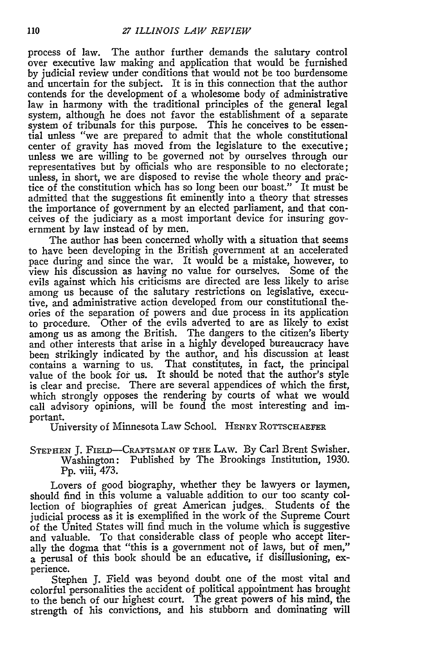process of law. The author further demands the salutary control over executive law making and application that would be furnished by judicial review under conditions that would not be too burdensome and uncertain for the subject. It is in this connection that the author contends for the development of a wholesome body of administrative law in harmony with the traditional principles of the general legal system, although he does not favor the establishment of a separate system of tribunals for this purpose. This he conceives to be essential unless "we are prepared to admit that the whole constitutional center of gravity has moved from the legislature to the executive; unless we are willing to be governed not by ourselves through our representatives but by officials who are responsible to no electorate; unless, in short, we are disposed to revise the whole theory and practice of the constitution which has so long been our boast." It must be admitted that the suggestions fit eminently into a theory that stresses the importance of government by an elected parliament, and that conceives of the judiciary as a most important device for insuring government **by** law instead of **by** men.

The author has been concerned wholly with a situation that seems to have been developing in the British government at an accelerated pace during and since the war. It would be a mistake, however, to view his discussion as having no value for ourselves. Some of the evils against which his criticisms are directed are less likely to arise among us because of the salutary restrictions on legislative, executive, and administrative action developed from our constitutional theories of the separation of powers and due process in its application to procedure. Other of the evils adverted to are as likely to exist among us as among the British. The dangers to the citizen's liberty and other interests that arise in a highly developed bureaucracy have been strikingly indicated **by** the author, and his discussion at least contains a warning to us. That constitutes, in fact, the principal value of the book for us. It should be noted that the author's style is clear and precise. There are several appendices of which the first, which strongly opposes the rendering **by** courts of what we would call advisory opinions, will be found the most interesting and important.

University of Minnesota Law School. HENRY ROTTSCHAEFER

STEPHEN J. FIELD-CRAFTSMAN OF THE LAW. By Carl Brent Swisher. Washington: Published **by** The Brookings Institution, 1930. **Pp.** viii, 473.

Lovers of good biography, whether they be lawyers or laymen, should find in this volume a valuable addition to our too scanty collection of biographies of great American judges. Students of the judicial process as it is exemplified in the work of the Supreme Court of the United States will find much in the volume which is suggestive and valuable. To that considerable class of people who accept literally the dogma that "this is a government not of laws, but of men," a perusal of this book should be an educative, if disillusioning, experience.

Stephen J. Field was beyond doubt one of the most vital and colorful personalities the accident of political appointment has brought to the bench of our highest court. The great powers of his mind, the strength of his convictions, and his stubborn and dominating will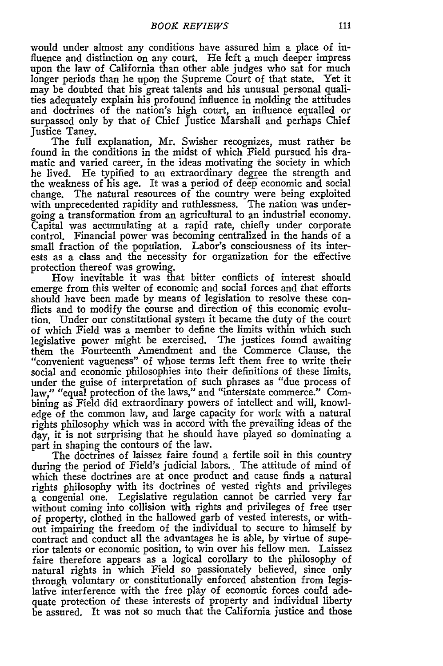would under almost any conditions have assured him a place of influence and distinction on any court. He left a much deeper impress upon the law of California than other able judges who sat for much longer periods than he upon the Supreme Court of that state. Yet it may be doubted that his great talents and his unusual personal qualities adequately explain his profound influence in molding the attitudes and doctrines of the nation's high court, an influence equalled or surpassed only by that of Chief Justice Marshall and perhaps Chief Justice Taney.

The full explanation, Mr. Swisher recognizes, must rather be found in the conditions in the midst of which Field pursued his dramatic and varied career, in the ideas motivating the society in which he lived. He typified to an extraordinary degree the strength and the weakness of his age. It was a period of deep economic and social change. The natural resources of the country were being exploited with unprecedented rapidity and ruthlessness. The nation was undergoing a transformation from an agricultural to an industrial economy. Capital was accumulating at a rapid rate, chiefly under corporate control. Financial power was becoming centralized in the hands of a small fraction of the population. Labor's consciousness of its interests as a class and the necessity for organization for the effective protection thereof was growing.

How inevitable it was that bitter conflicts of interest should emerge from this welter of economic and social forces and that efforts should have been made **by** means of legislation to resolve these conflicts and to modify the course and direction of this economic evolution. Under our constitutional system it became the duty of the court of which Field was a member to define the limits within which such legislative power might be exercised. The justices found awaiting them the Fourteenth Amendment and the Commerce Clause, the "convenient vagueness" of whose terms left them free to write their social and economic philosophies into their definitions of these limits, under the guise of interpretation of such phrases as "due process of law," "equal protection of the laws," and "interstate commerce." Combining as Field did extraordinary powers of intellect and will, knowledge of the common law, and large capacity for work with a natural rights philosophy which was in accord with the prevailing ideas of the *day,* it is not surprising that he should have played so dominating a part in shaping the contours of the law.

The doctrines of laissez faire found a fertile soil in this country during the period of Field's judicial labors. The attitude of mind of which these doctrines are at once product and cause finds a natural rights philosophy with its doctrines of vested rights and privileges a congenial one. Legislative regulation cannot be carried very far without coming into collision with rights and privileges of free user of property, clothed in the hallowed garb of vested interests, or without impairing the freedom of the individual to secure to himself by contract and conduct all the advantages he is able, by virtue of superior talents or economic position, to win over his fellow men. Laissez faire therefore appears as a logical corollary to the philosophy of natural rights in which Field so passionately believed, since only through voluntary or constitutionally enforced abstention from legislative interference with the free play of economic forces could adequate protection of these interests of property and individual liberty be assured. It was not so much that the California justice and those